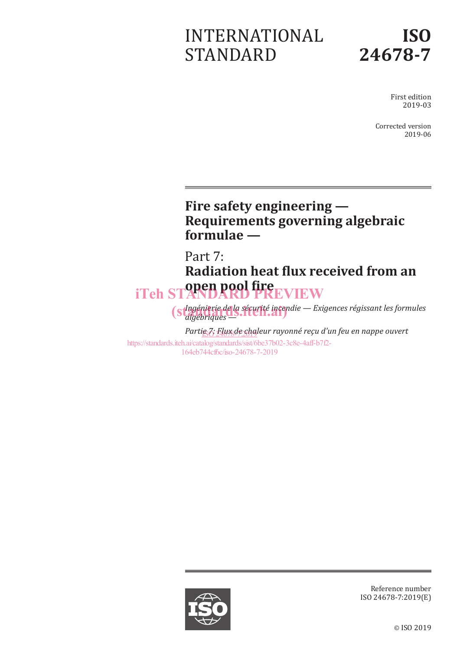# INTERNATIONAL STANDARD



First edition 2019-03

Corrected version 2019-06

# **Fire safety engineering — Requirements governing algebraic formulae —**

Part 7: **Radiation heat flux received from an open pool fire** iTeh STANDARD PREVIEW

*Ingénierie de la sécurité incendie — Exigences régissant les formules (s Ingénierie de la sécurité incentaige de la sécurité incentaige du la sécurité incentaige du la sécurité incente du* 

Parti<u>e Z: Flux de cha</u>leur rayonné reçu d'un feu en nappe ouvert

https://standards.iteh.ai/catalog/standards/sist/6be37b02-3c8e-4aff-b7f2- 164eb744cf6c/iso-24678-7-2019



Reference number ISO 24678-7:2019(E)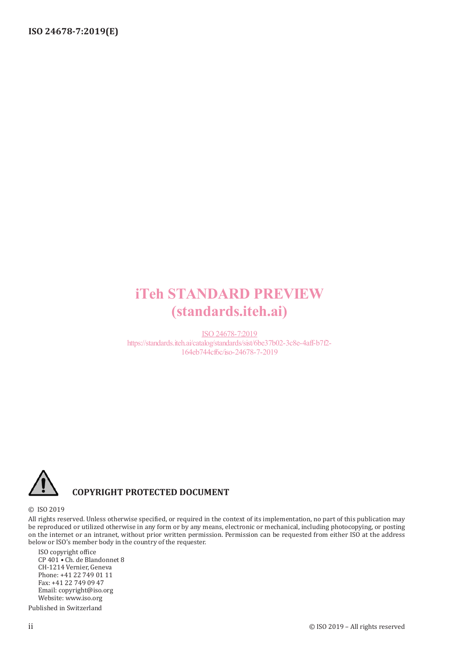# iTeh STANDARD PREVIEW (standards.iteh.ai)

ISO 24678-7:2019 https://standards.iteh.ai/catalog/standards/sist/6be37b02-3c8e-4aff-b7f2- 164eb744cf6c/iso-24678-7-2019



## **COPYRIGHT PROTECTED DOCUMENT**

#### © ISO 2019

All rights reserved. Unless otherwise specified, or required in the context of its implementation, no part of this publication may be reproduced or utilized otherwise in any form or by any means, electronic or mechanical, including photocopying, or posting on the internet or an intranet, without prior written permission. Permission can be requested from either ISO at the address below or ISO's member body in the country of the requester.

ISO copyright office CP 401 • Ch. de Blandonnet 8 CH-1214 Vernier, Geneva Phone: +41 22 749 01 11 Fax: +41 22 749 09 47 Email: copyright@iso.org Website: www.iso.org

Published in Switzerland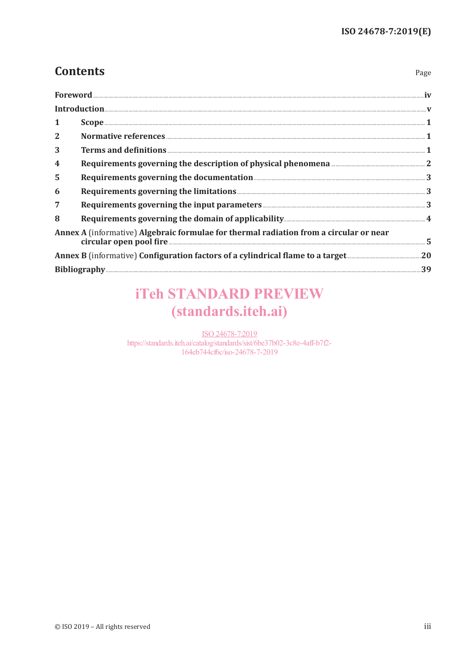Page

# **Contents**

| $\overline{2}$          |                                                                                                                         |   |
|-------------------------|-------------------------------------------------------------------------------------------------------------------------|---|
| 3                       |                                                                                                                         |   |
| $\overline{\mathbf{4}}$ |                                                                                                                         |   |
| 5                       | Requirements governing the documentation <b>Energy Constructs</b> 2                                                     |   |
| 6                       | Requirements governing the limitations <b>Election Step and Step and Step and Step and Step and Step and Step and S</b> |   |
| 7                       | Requirements governing the input parameters <b>Engineery</b> 23                                                         |   |
| 8                       |                                                                                                                         |   |
|                         | Annex A (informative) Algebraic formulae for thermal radiation from a circular or near<br>circular open pool fire       | 5 |
|                         |                                                                                                                         |   |
|                         |                                                                                                                         |   |

# **iTeh STANDARD PREVIEW** (standards.iteh.ai)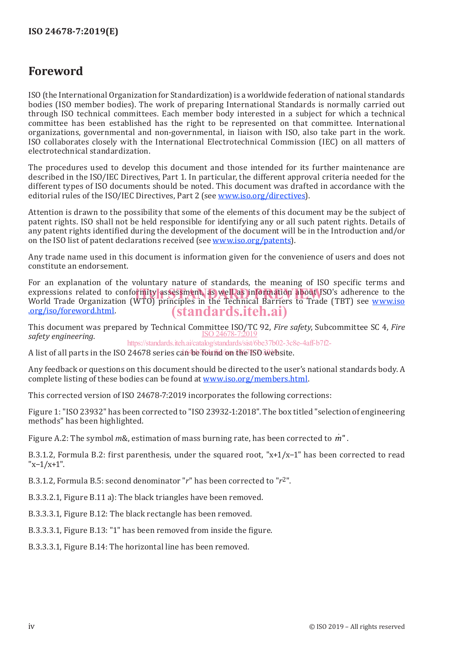# **Foreword**

ISO (the International Organization for Standardization) is a worldwide federation of national standards bodies (ISO member bodies). The work of preparing International Standards is normally carried out through ISO technical committees. Each member body interested in a subject for which a technical committee has been established has the right to be represented on that committee. International organizations, governmental and non-governmental, in liaison with ISO, also take part in the work. ISO collaborates closely with the International Electrotechnical Commission (IEC) on all matters of electrotechnical standardization.

The procedures used to develop this document and those intended for its further maintenance are described in the ISO/IEC Directives, Part 1. In particular, the different approval criteria needed for the different types of ISO documents should be noted. This document was drafted in accordance with the editorial rules of the ISO/IEC Directives, Part 2 (see www.iso.org/directives).

Attention is drawn to the possibility that some of the elements of this document may be the subject of patent rights. ISO shall not be held responsible for identifying any or all such patent rights. Details of any patent rights identified during the development of the document will be in the Introduction and/or on the ISO list of patent declarations received (see www.iso.org/patents).

Any trade name used in this document is information given for the convenience of users and does not constitute an endorsement.

For an explanation of the voluntary nature of standards, the meaning of ISO specific terms and expressions related to conformity assessment, as well as information about ISO's adherence to the expressions of the Water of the Technical Barriers to Trade (TBT) see www.iso. World Trade Organization (WTO) principles in the Technical Barriers to Trade (TBT) see www.iso .org/iso/foreword.html. (standards.iteh.ai)

This document was prepared by Technical Committee ISO/TC 92, *Fire safety*, Subcommittee SC 4, *Fire*  ISO 24678-7:2019 *safety engineering*.

https://standards.iteh.ai/catalog/standards/sist/6be37b02-3c8e-4aff-b7f2-

A list of all parts in the ISO 24678 series can be found on the ISO website.

Any feedback or questions on this document should be directed to the user's national standards body. A complete listing of these bodies can be found at www.iso.org/members.html.

This corrected version of ISO 24678-7:2019 incorporates the following corrections:

Figure 1: "ISO 23932" has been corrected to "ISO 23932-1:2018". The box titled "selection of engineering methods" has been highlighted.

Figure A.2: The symbol *m*&, estimation of mass burning rate, has been corrected to *m* ".

B.3.1.2, Formula B.2: first parenthesis, under the squared root, "x+1/x−1" has been corrected to read "x−1/x+1".

B.3.1.2, Formula B.5: second denominator "*r*" has been corrected to "*r*2".

B.3.3.2.1, Figure B.11 a): The black triangles have been removed.

B.3.3.3.1, Figure B.12: The black rectangle has been removed.

B.3.3.3.1, Figure B.13: "1" has been removed from inside the figure.

B.3.3.3.1, Figure B.14: The horizontal line has been removed.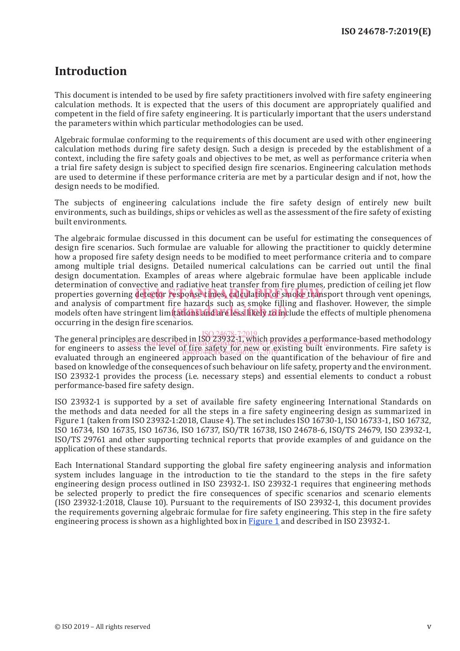# **Introduction**

This document is intended to be used by fire safety practitioners involved with fire safety engineering calculation methods. It is expected that the users of this document are appropriately qualified and competent in the field of fire safety engineering. It is particularly important that the users understand the parameters within which particular methodologies can be used.

Algebraic formulae conforming to the requirements of this document are used with other engineering calculation methods during fire safety design. Such a design is preceded by the establishment of a context, including the fire safety goals and objectives to be met, as well as performance criteria when a trial fire safety design is subject to specified design fire scenarios. Engineering calculation methods are used to determine if these performance criteria are met by a particular design and if not, how the design needs to be modified.

The subjects of engineering calculations include the fire safety design of entirely new built environments, such as buildings, ships or vehicles as well as the assessment of the fire safety of existing built environments.

The algebraic formulae discussed in this document can be useful for estimating the consequences of design fire scenarios. Such formulae are valuable for allowing the practitioner to quickly determine how a proposed fire safety design needs to be modified to meet performance criteria and to compare among multiple trial designs. Detailed numerical calculations can be carried out until the final design documentation. Examples of areas where algebraic formulae have been applicable include determination of convective and radiative heat transfer from fire plumes, prediction of ceiling jet flow properties governing detector response times, calculation of smoke transport through vent openings, properties governing detector response times, calculation of smoke transport through vent openings, and analysis of compartment fire hazards such as smoke filling and flashover. However, the simple and analysis of compartment the nazards such as sinoke fulling and flashover. However, the simple models often have stringent limitations and already to include the effects of multiple phenomena occurring in the design fire scenarios.

The general principles are described in ISO 23932-1, which provides a performance-based methodology for engineers to assess the level of tire safety for new or existing built environments. Fire safety is evaluated through an engineered approach based on the quantification of the behaviour of fire and based on knowledge of the consequences of such behaviour on life safety, property and the environment. ISO 23932-1 provides the process (i.e. necessary steps) and essential elements to conduct a robust performance-based fire safety design. ISO 24678-7:2019 https://standards.iteh.ai/catalog/standards/sist/6be37b02-3c8e-4aff-b7f2- 164eb744cf6c/iso-24678-7-2019

ISO 23932-1 is supported by a set of available fire safety engineering International Standards on the methods and data needed for all the steps in a fire safety engineering design as summarized in Figure 1 (taken from ISO 23932-1:2018, Clause 4). The set includes ISO 16730-1, ISO 16733-1, ISO 16732, ISO 16734, ISO 16735, ISO 16736, ISO 16737, ISO/TR 16738, ISO 24678-6, ISO/TS 24679, ISO 23932-1, ISO/TS 29761 and other supporting technical reports that provide examples of and guidance on the application of these standards.

Each International Standard supporting the global fire safety engineering analysis and information system includes language in the introduction to tie the standard to the steps in the fire safety engineering design process outlined in ISO 23932-1. ISO 23932-1 requires that engineering methods be selected properly to predict the fire consequences of specific scenarios and scenario elements (ISO 23932-1:2018, Clause 10). Pursuant to the requirements of ISO 23932-1, this document provides the requirements governing algebraic formulae for fire safety engineering. This step in the fire safety engineering process is shown as a highlighted box in Figure 1 and described in ISO 23932-1.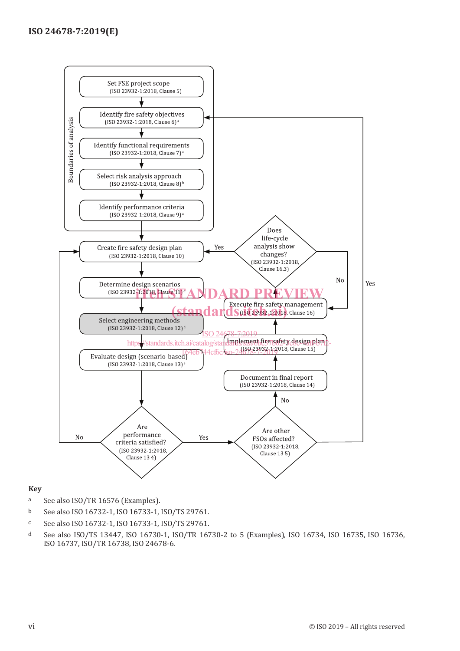

#### **Key**

- a See also ISO/TR 16576 (Examples).
- b See also ISO 16732-1, ISO 16733-1, ISO/TS 29761.
- c See also ISO 16732-1, ISO 16733-1, ISO/TS 29761.
- d See also ISO/TS 13447, ISO 16730-1, ISO/TR 16730-2 to 5 (Examples), ISO 16734, ISO 16735, ISO 16736, ISO 16737, ISO/TR 16738, ISO 24678-6.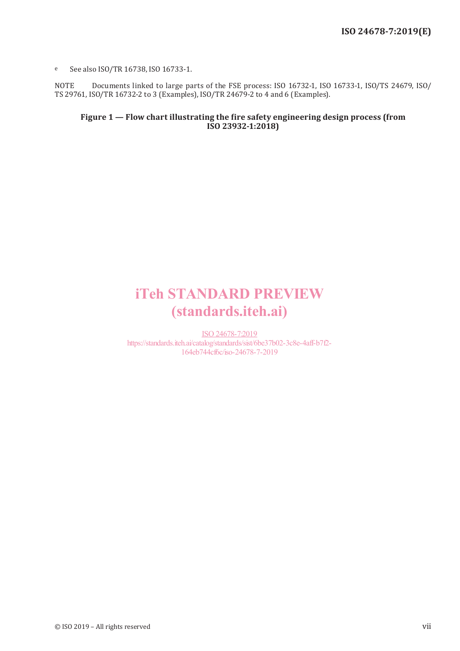e See also ISO/TR 16738, ISO 16733-1.

NOTE Documents linked to large parts of the FSE process: ISO 16732-1, ISO 16733-1, ISO/TS 24679, ISO/ TS 29761, ISO/TR 16732-2 to 3 (Examples), ISO/TR 24679-2 to 4 and 6 (Examples).

#### **Figure 1 — Flow chart illustrating the fire safety engineering design process (from ISO 23932-1:2018)**

# iTeh STANDARD PREVIEW (standards.iteh.ai)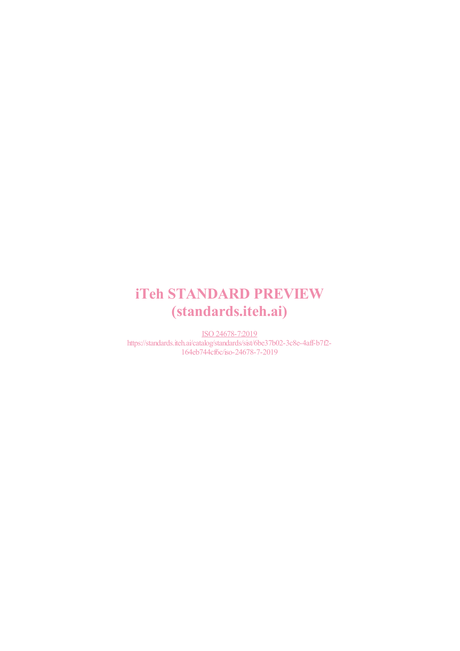# iTeh STANDARD PREVIEW (standards.iteh.ai)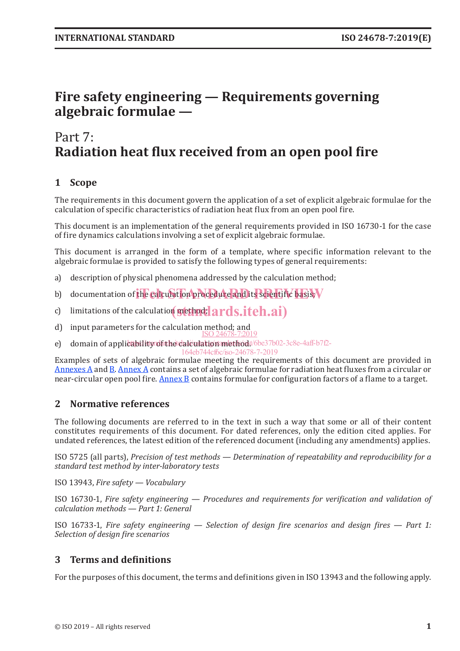# **Fire safety engineering — Requirements governing algebraic formulae —**

# Part 7: **Radiation heat flux received from an open pool fire**

## **1 Scope**

The requirements in this document govern the application of a set of explicit algebraic formulae for the calculation of specific characteristics of radiation heat flux from an open pool fire.

This document is an implementation of the general requirements provided in ISO 16730-1 for the case of fire dynamics calculations involving a set of explicit algebraic formulae.

This document is arranged in the form of a template, where specific information relevant to the algebraic formulae is provided to satisfy the following types of general requirements:

- a) description of physical phenomena addressed by the calculation method;
- b) documentation of the calculation procedure and its scientific basis; V
- c) limitations of the calculation **method; ards.iteh.ai**)
- d) input parameters for the calculation method; and ISO 24678-7:2019
- e) domain of applicability of the calculation method:/6be37b02-3c8e-4aff-b7f2-

164eb744cf6c/iso-24678-7-2019

Examples of sets of algebraic formulae meeting the requirements of this document are provided in Annexes A and B. Annex A contains a set of algebraic formulae for radiation heat fluxes from a circular or near-circular open pool fire. Annex B contains formulae for configuration factors of a flame to a target.

## **2 Normative references**

The following documents are referred to in the text in such a way that some or all of their content constitutes requirements of this document. For dated references, only the edition cited applies. For undated references, the latest edition of the referenced document (including any amendments) applies.

ISO 5725 (all parts), *Precision of test methods — Determination of repeatability and reproducibility for a standard test method by inter-laboratory tests*

ISO 13943, *Fire safety — Vocabulary*

ISO 16730-1, *Fire safety engineering — Procedures and requirements for verification and validation of calculation methods — Part 1: General*

ISO 16733-1, *Fire safety engineering — Selection of design fire scenarios and design fires — Part 1: Selection of design fire scenarios*

## **3 Terms and definitions**

For the purposes of this document, the terms and definitions given in ISO 13943 and the following apply.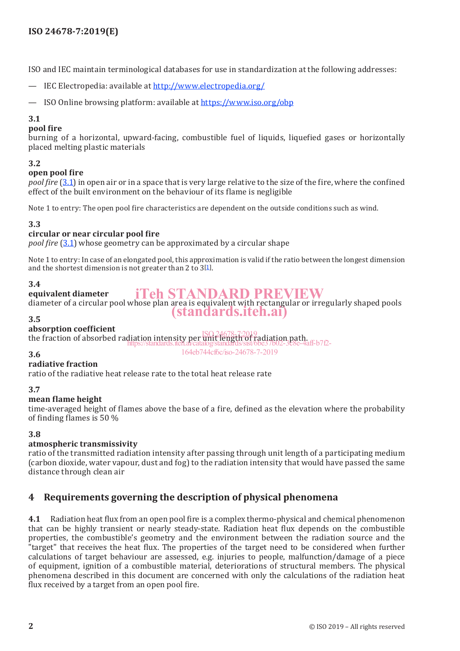ISO and IEC maintain terminological databases for use in standardization at the following addresses:

— IEC Electropedia: available at http://www.electropedia.org/

ISO Online browsing platform: available at https://www.iso.org/obp

#### **3.1**

#### **pool fire**

burning of a horizontal, upward-facing, combustible fuel of liquids, liquefied gases or horizontally placed melting plastic materials

#### **3.2**

#### **open pool fire**

*pool fire* (3.1) in open air or in a space that is very large relative to the size of the fire, where the confined effect of the built environment on the behaviour of its flame is negligible

Note 1 to entry: The open pool fire characteristics are dependent on the outside conditions such as wind.

#### **3.3**

#### **circular or near circular pool fire**

*pool fire* (3.1) whose geometry can be approximated by a circular shape

Note 1 to entry: In case of an elongated pool, this approximation is valid if the ratio between the longest dimension and the shortest dimension is not greater than 2 to 3[1].

#### **3.4**

#### **equivalent diameter** iTeh STANDARD PREVIEW

diameter of a circular pool whose plan area is equivalent with rectangular or irregularly shaped pools (standards.iteh.ai)

164eb744cf6c/iso-24678-7-2019

#### **3.5**

#### **absorption coefficient**

the fraction of absorbed radiation intensity per unit length of radiation path.<br>https://www.wadana.net/acatalog/sandados.html ISO 24678-7:2019 https://standards.iteh.ai/catalog/standards/sist/6be37b02-3c8e-4aff-b7f2-

#### **3.6**

#### **radiative fraction**

ratio of the radiative heat release rate to the total heat release rate

#### **3.7**

#### **mean flame height**

time-averaged height of flames above the base of a fire, defined as the elevation where the probability of finding flames is 50 %

#### **3.8**

#### **atmospheric transmissivity**

ratio of the transmitted radiation intensity after passing through unit length of a participating medium (carbon dioxide, water vapour, dust and fog) to the radiation intensity that would have passed the same distance through clean air

## **4 Requirements governing the description of physical phenomena**

**4.1** Radiation heat flux from an open pool fire is a complex thermo-physical and chemical phenomenon that can be highly transient or nearly steady-state. Radiation heat flux depends on the combustible properties, the combustible's geometry and the environment between the radiation source and the "target" that receives the heat flux. The properties of the target need to be considered when further calculations of target behaviour are assessed, e.g. injuries to people, malfunction/damage of a piece of equipment, ignition of a combustible material, deteriorations of structural members. The physical phenomena described in this document are concerned with only the calculations of the radiation heat flux received by a target from an open pool fire.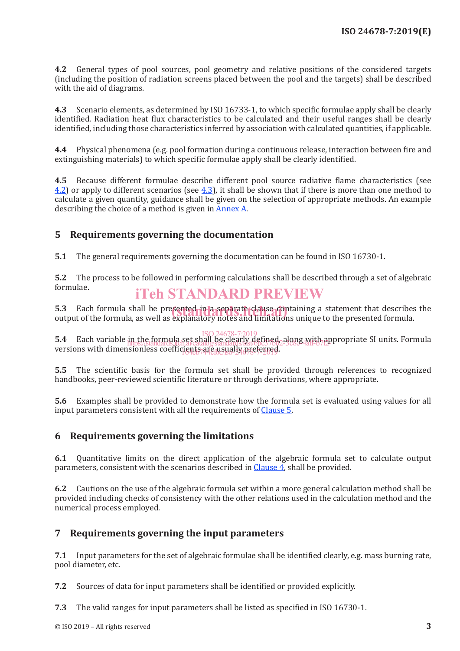**4.2** General types of pool sources, pool geometry and relative positions of the considered targets (including the position of radiation screens placed between the pool and the targets) shall be described with the aid of diagrams.

**4.3** Scenario elements, as determined by ISO 16733-1, to which specific formulae apply shall be clearly identified. Radiation heat flux characteristics to be calculated and their useful ranges shall be clearly identified, including those characteristics inferred by association with calculated quantities, if applicable.

**4.4** Physical phenomena (e.g. pool formation during a continuous release, interaction between fire and extinguishing materials) to which specific formulae apply shall be clearly identified.

**4.5** Because different formulae describe different pool source radiative flame characteristics (see  $\frac{4.2}{2}$  or apply to different scenarios (see  $\frac{4.3}{2}$ ), it shall be shown that if there is more than one method to calculate a given quantity, guidance shall be given on the selection of appropriate methods. An example describing the choice of a method is given in Annex A.

## **5 Requirements governing the documentation**

**5.1** The general requirements governing the documentation can be found in ISO 16730-1.

**5.2** The process to be followed in performing calculations shall be described through a set of algebraic formulae. iTeh STANDARD PREVIEW

**5.3** Each formula shall be presented in a separate clause containing a statement that describes the output of the formula. output of the formula, as well as explanatory notes and limitations unique to the presented formula.

**5.4** Each variable in the formula set shall be clearly defined, along with appropriate SI units. Formula versions with dimensionless coefficients are usually preferred. 164eb744cf6c/iso-24678-7-2019https://standards.iteh.ai/catalog/standards/sist/6be37b02-3c8e-4aff-b7f2-

**5.5** The scientific basis for the formula set shall be provided through references to recognized handbooks, peer-reviewed scientific literature or through derivations, where appropriate.

**5.6** Examples shall be provided to demonstrate how the formula set is evaluated using values for all input parameters consistent with all the requirements of Clause 5.

## **6 Requirements governing the limitations**

**6.1** Quantitative limits on the direct application of the algebraic formula set to calculate output parameters, consistent with the scenarios described in Clause 4, shall be provided.

**6.2** Cautions on the use of the algebraic formula set within a more general calculation method shall be provided including checks of consistency with the other relations used in the calculation method and the numerical process employed.

## **7 Requirements governing the input parameters**

**7.1** Input parameters for the set of algebraic formulae shall be identified clearly, e.g. mass burning rate, pool diameter, etc.

**7.2** Sources of data for input parameters shall be identified or provided explicitly.

**7.3** The valid ranges for input parameters shall be listed as specified in ISO 16730-1.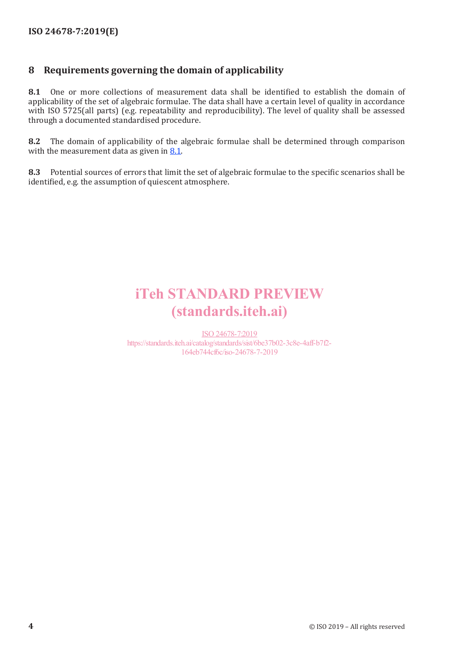## **8 Requirements governing the domain of applicability**

**8.1** One or more collections of measurement data shall be identified to establish the domain of applicability of the set of algebraic formulae. The data shall have a certain level of quality in accordance with ISO 5725(all parts) (e.g. repeatability and reproducibility). The level of quality shall be assessed through a documented standardised procedure.

**8.2** The domain of applicability of the algebraic formulae shall be determined through comparison with the measurement data as given in  $8.1$ .

**8.3** Potential sources of errors that limit the set of algebraic formulae to the specific scenarios shall be identified, e.g. the assumption of quiescent atmosphere.

# iTeh STANDARD PREVIEW (standards.iteh.ai)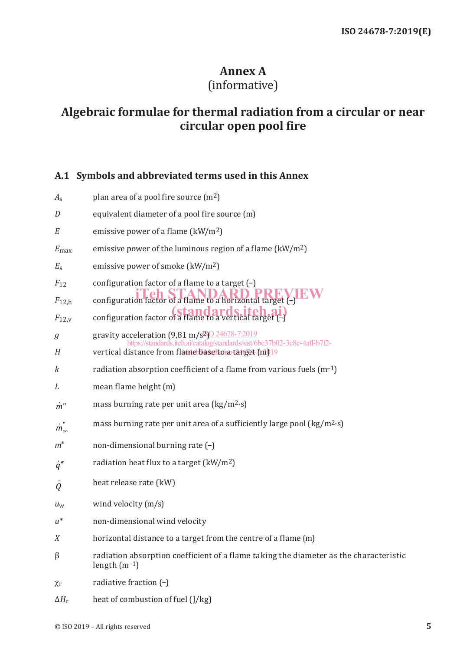# **Annex A**

# (informative)

# **Algebraic formulae for thermal radiation from a circular or near circular open pool fire**

## **A.1 Symbols and abbreviated terms used in this Annex**

| $A_{\rm S}$              | plan area of a pool fire source $(m^2)$                                                                                                                                                      |
|--------------------------|----------------------------------------------------------------------------------------------------------------------------------------------------------------------------------------------|
| D                        | equivalent diameter of a pool fire source (m)                                                                                                                                                |
| E                        | emissive power of a flame $(kW/m2)$                                                                                                                                                          |
| $E_{\rm max}$            | emissive power of the luminous region of a flame $(kW/m2)$                                                                                                                                   |
| $E_{\rm S}$              | emissive power of smoke (kW/m <sup>2</sup> )                                                                                                                                                 |
| $F_{12}$                 | configuration factor of a flame to a target $(-)$<br>configuration factor of a flame to a horizontal target                                                                                  |
| $F_{12,h}$<br>$F_{12,v}$ | stan<br>configuration factor of a flame to a vertical target (-)                                                                                                                             |
| g<br>H                   | gravity acceleration $(9.81 \text{ m/s}^2)$ 24678-72019<br>https://standards.iteh.ai/catalog/standards/sist/6be37b02-3c8e-4aff-b7f2-<br>vertical distance from flameblasetto a target (m) 19 |
| k                        | radiation absorption coefficient of a flame from various fuels $(m^{-1})$                                                                                                                    |
| L                        | mean flame height (m)                                                                                                                                                                        |
| $\dot{m}$ "              | mass burning rate per unit area ( $\text{kg/m2·s}$ )                                                                                                                                         |
| $m_{\infty}$             | mass burning rate per unit area of a sufficiently large pool ( $\text{kg/m}^2\text{-s}$ )                                                                                                    |
| $m^*$                    | non-dimensional burning rate (-)                                                                                                                                                             |
| $\dot{q}''$              | radiation heat flux to a target (kW/m <sup>2</sup> )                                                                                                                                         |
| Q                        | heat release rate (kW)                                                                                                                                                                       |
| $u_w$                    | wind velocity (m/s)                                                                                                                                                                          |
| $u^*$                    | non-dimensional wind velocity                                                                                                                                                                |
| X                        | horizontal distance to a target from the centre of a flame (m)                                                                                                                               |
| $\beta$                  | radiation absorption coefficient of a flame taking the diameter as the characteristic<br>length $(m-1)$                                                                                      |
| $\chi_{\rm r}$           | radiative fraction $(-)$                                                                                                                                                                     |
| $\Delta H_C$             | heat of combustion of fuel (J/kg)                                                                                                                                                            |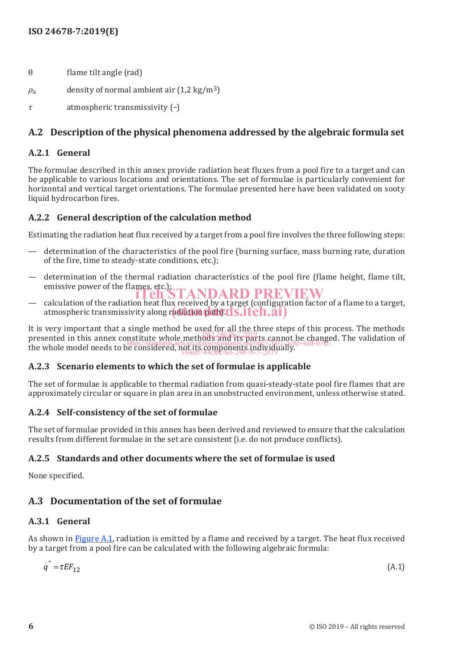- $\theta$  flame tilt angle (rad)
- $\rho_a$  density of normal ambient air  $(1,2 \text{ kg/m}^3)$
- *τ* atmospheric transmissivity (−)

## **A.2 Description of the physical phenomena addressed by the algebraic formula set**

### **A.2.1 General**

The formulae described in this annex provide radiation heat fluxes from a pool fire to a target and can be applicable to various locations and orientations. The set of formulae is particularly convenient for horizontal and vertical target orientations. The formulae presented here have been validated on sooty liquid hydrocarbon fires.

### **A.2.2 General description of the calculation method**

Estimating the radiation heat flux received by a target from a pool fire involves the three following steps:

- determination of the characteristics of the pool fire (burning surface, mass burning rate, duration of the fire, time to steady-state conditions, etc.);
- determination of the thermal radiation characteristics of the pool fire (flame height, flame tilt, emissive power of the flames, etc.); 'ANDARD PREVIEW
- calculation of the radiation heat flux received by a target (configuration factor of a flame to a target, calculation of the radiation heat hux received by a target (configuration of the radiation heat hux received by a target (configuration

It is very important that a single method be used for all the three steps of this process. The methods presented in this annex constitute whole methods and its parts cannot be used.<br>Presented in this annex constitute whole methods and its parts cannot be changed. The validation of the whole model needs to be considered, not its components individually.<br>Reports in the consideration of the considered, and the consideration of the consideration of the consideratio https://standards.iteh.ai/catalog/standards/sist/6be37b02-3c8e-4aff-b7f2- 164eb744cf6c/iso-24678-7-2019

#### **A.2.3 Scenario elements to which the set of formulae is applicable**

The set of formulae is applicable to thermal radiation from quasi-steady-state pool fire flames that are approximately circular or square in plan area in an unobstructed environment, unless otherwise stated.

## **A.2.4 Self-consistency of the set of formulae**

The set of formulae provided in this annex has been derived and reviewed to ensure that the calculation results from different formulae in the set are consistent (i.e. do not produce conflicts).

## **A.2.5 Standards and other documents where the set of formulae is used**

None specified.

## **A.3 Documentation of the set of formulae**

#### **A.3.1 General**

As shown in Figure A.1, radiation is emitted by a flame and received by a target. The heat flux received by a target from a pool fire can be calculated with the following algebraic formula:

$$
q'' = \tau E F_{12} \tag{A.1}
$$